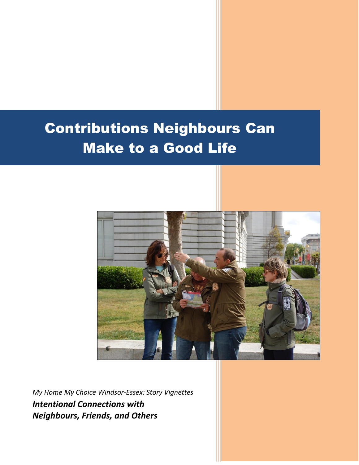# Contributions Neighbours Can Make to a Good Life



*My Home My Choice Windsor-Essex: Story Vignettes Intentional Connections with Neighbours, Friends, and Others*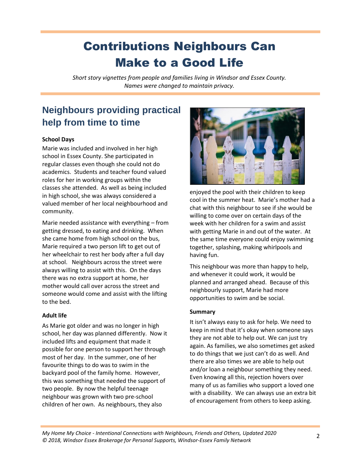## Contributions Neighbours Can Make to a Good Life

*Short story vignettes from people and families living in Windsor and Essex County. Names were changed to maintain privacy.*

### **Neighbours providing practical help from time to time**

### **School Days**

Marie was included and involved in her high school in Essex County. She participated in regular classes even though she could not do academics. Students and teacher found valued roles for her in working groups within the classes she attended. As well as being included in high school, she was always considered a valued member of her local neighbourhood and community.

Marie needed assistance with everything – from getting dressed, to eating and drinking. When she came home from high school on the bus, Marie required a two person lift to get out of her wheelchair to rest her body after a full day at school. Neighbours across the street were always willing to assist with this. On the days there was no extra support at home, her mother would call over across the street and someone would come and assist with the lifting to the bed.

### **Adult life**

As Marie got older and was no longer in high school, her day was planned differently. Now it included lifts and equipment that made it possible for one person to support her through most of her day. In the summer, one of her favourite things to do was to swim in the backyard pool of the family home. However, this was something that needed the support of two people. By now the helpful teenage neighbour was grown with two pre-school children of her own. As neighbours, they also



enjoyed the pool with their children to keep cool in the summer heat. Marie's mother had a chat with this neighbour to see if she would be willing to come over on certain days of the week with her children for a swim and assist with getting Marie in and out of the water. At the same time everyone could enjoy swimming together, splashing, making whirlpools and having fun.

This neighbour was more than happy to help, and whenever it could work, it would be planned and arranged ahead. Because of this neighbourly support, Marie had more opportunities to swim and be social.

### **Summary**

It isn't always easy to ask for help. We need to keep in mind that it's okay when someone says they are not able to help out. We can just try again. As families, we also sometimes get asked to do things that we just can't do as well. And there are also times we are able to help out and/or loan a neighbour something they need. Even knowing all this, rejection hovers over many of us as families who support a loved one with a disability. We can always use an extra bit of encouragement from others to keep asking.

*My Home My Choice - Intentional Connections with Neighbours, Friends and Others, Updated 2020 © 2018, Windsor Essex Brokerage for Personal Supports, Windsor-Essex Family Network* <sup>2</sup>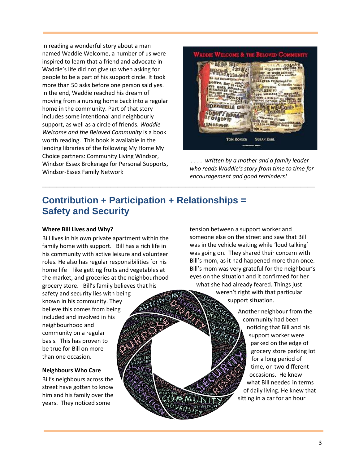In reading a wonderful story about a man named Waddie Welcome, a number of us were inspired to learn that a friend and advocate in Waddie's life did not give up when asking for people to be a part of his support circle. It took more than 50 asks before one person said yes. In the end, Waddie reached his dream of moving from a nursing home back into a regular home in the community. Part of that story includes some intentional and neighbourly support, as well as a circle of friends. *Waddie Welcome and the Beloved Community* is a book worth reading. This book is available in the lending libraries of the following My Home My Choice partners: Community Living Windsor, Windsor Essex Brokerage for Personal Supports, Windsor-Essex Family Network



*. . . . written by a mother and a family leader who reads Waddie's story from time to time for encouragement and good reminders!* 

### **Contribution + Participation + Relationships = Safety and Security**

\_\_\_\_\_\_\_\_\_\_\_\_\_\_\_\_\_\_\_\_\_\_\_\_\_\_\_\_\_\_\_\_\_\_\_\_\_\_\_\_\_\_\_\_\_\_\_\_\_\_\_\_\_\_\_\_\_\_\_\_\_\_\_\_\_\_\_\_\_\_\_\_\_\_\_\_

#### **Where Bill Lives and Why?**

Bill lives in his own private apartment within the family home with support. Bill has a rich life in his community with active leisure and volunteer roles. He also has regular responsibilities for his home life – like getting fruits and vegetables at the market, and groceries at the neighbourhood grocery store. Bill's family believes that his safety and security lies with being known in his community. They believe this comes from being included and involved in his neighbourhood and community on a regular basis. This has proven to be true for Bill on more than one occasion.

#### **Neighbours Who Care**

Bill's neighbours across the street have gotten to know him and his family over the years. They noticed some

tension between a support worker and someone else on the street and saw that Bill was in the vehicle waiting while 'loud talking' was going on. They shared their concern with Bill's mom, as it had happened more than once. Bill's mom was very grateful for the neighbour's eyes on the situation and it confirmed for her what she had already feared. Things just

weren't right with that particular support situation.

> Another neighbour from the community had been noticing that Bill and his support worker were parked on the edge of grocery store parking lot for a long period of time, on two different occasions. He knew what Bill needed in terms of daily living. He knew that sitting in a car for an hour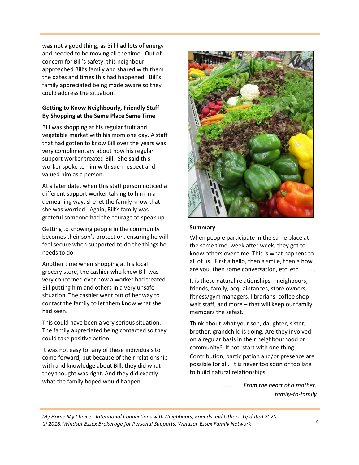was not a good thing, as Bill had lots of energy and needed to be moving all the time. Out of concern for Bill's safety, this neighbour approached Bill's family and shared with them the dates and times this had happened. Bill's family appreciated being made aware so they could address the situation.

### **Getting to Know Neighbourly, Friendly Staff By Shopping at the Same Place Same Time**

Bill was shopping at his regular fruit and vegetable market with his mom one day. A staff that had gotten to know Bill over the years was very complimentary about how his regular support worker treated Bill. She said this worker spoke to him with such respect and valued him as a person.

At a later date, when this staff person noticed a different support worker talking to him in a demeaning way, she let the family know that she was worried. Again, Bill's family was grateful someone had the courage to speak up.

Getting to knowing people in the community becomes their son's protection, ensuring he will feel secure when supported to do the things he needs to do.

Another time when shopping at his local grocery store, the cashier who knew Bill was very concerned over how a worker had treated Bill putting him and others in a very unsafe situation. The cashier went out of her way to contact the family to let them know what she had seen.

This could have been a very serious situation. The family appreciated being contacted so they could take positive action.

It was not easy for any of these individuals to come forward, but because of their relationship with and knowledge about Bill, they did what they thought was right. And they did exactly what the family hoped would happen.



#### **Summary**

When people participate in the same place at the same time, week after week, they get to know others over time. This is what happens to all of us. First a hello, then a smile, then a how are you, then some conversation, etc. etc. . . . . .

It is these natural relationships – neighbours, friends, family, acquaintances, store owners, fitness/gym managers, librarians, coffee shop wait staff, and more – that will keep our family members the safest.

Think about what your son, daughter, sister, brother, grandchild is doing. Are they involved on a regular basis in their neighbourhood or community? If not, start with one thing. Contribution, participation and/or presence are possible for all. It is never too soon or too late to build natural relationships.

> *. . . . . . . From the heart of a mother, family-to-family*

*My Home My Choice - Intentional Connections with Neighbours, Friends and Others, Updated 2020 © 2018, Windsor Essex Brokerage for Personal Supports, Windsor-Essex Family Network* 4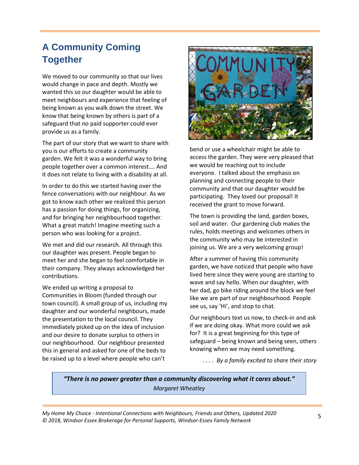### **A Community Coming Together**

We moved to our community so that our lives would change in pace and depth. Mostly we wanted this so our daughter would be able to meet neighbours and experience that feeling of being known as you walk down the street. We know that being known by others is part of a safeguard that no paid supporter could ever provide us as a family.

The part of our story that we want to share with you is our efforts to create a community garden. We felt it was a wonderful way to bring people together over a common interest…. And it does not relate to living with a disability at all.

In order to do this we started having over the fence conversations with our neighbour. As we got to know each other we realized this person has a passion for doing things, for organizing, and for bringing her neighbourhood together. What a great match! Imagine meeting such a person who was looking for a project.

We met and did our research. All through this our daughter was present. People began to meet her and she began to feel comfortable in their company. They always acknowledged her contributions.

We ended up writing a proposal to Communities in Bloom (funded through our town council). A small group of us, including my daughter and our wonderful neighbours, made the presentation to the local council. They immediately picked up on the idea of inclusion and our desire to donate surplus to others in our neighbourhood. Our neighbour presented this in general and asked for one of the beds to be raised up to a level where people who can't



bend or use a wheelchair might be able to access the garden. They were very pleased that we would be reaching out to include everyone. I talked about the emphasis on planning and connecting people to their community and that our daughter would be participating. They loved our proposal! It received the grant to move forward.

The town is providing the land, garden boxes, soil and water. Our gardening club makes the rules, holds meetings and welcomes others in the community who may be interested in joining us. We are a very welcoming group!

After a summer of having this community garden, we have noticed that people who have lived here since they were young are starting to wave and say hello. When our daughter, with her dad, go bike riding around the block we feel like we are part of our neighbourhood. People see us, say 'Hi', and stop to chat.

Our neighbours text us now, to check-in and ask if we are doing okay. What more could we ask for? It is a great beginning for this type of safeguard – being known and being seen, others knowing when we may need something.

*. . . . By a family excited to share their story*

*"There is no power greater than a community discovering what it cares about." Margaret Wheatley*

*My Home My Choice - Intentional Connections with Neighbours, Friends and Others, Updated 2020 © 2018, Windsor Essex Brokerage for Personal Supports, Windsor-Essex Family Network*